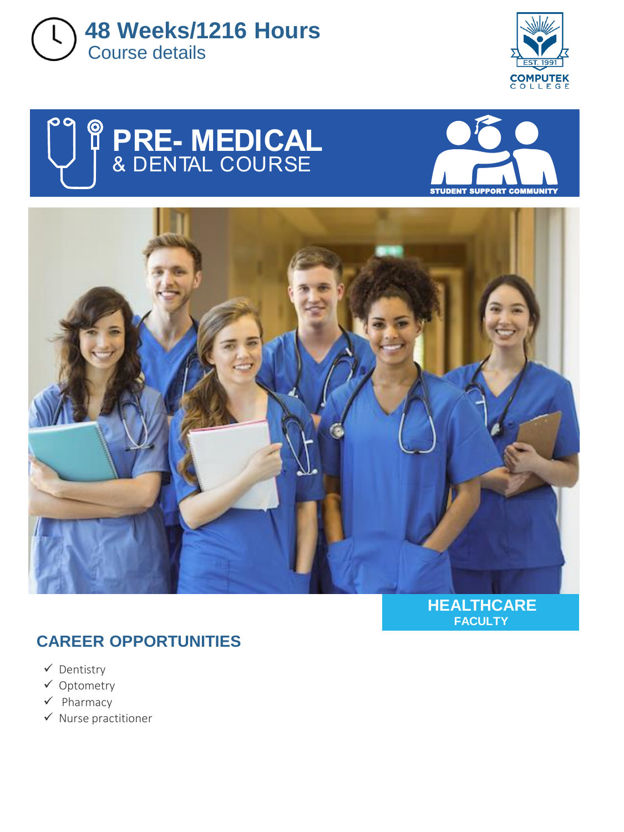









#### **HEALTHCARE FACULTY**

## **CAREER OPPORTUNITIES**

- ✓ Dentistry
- ✓ Optometry
- ✓ Pharmacy
- ✓ Nurse practitioner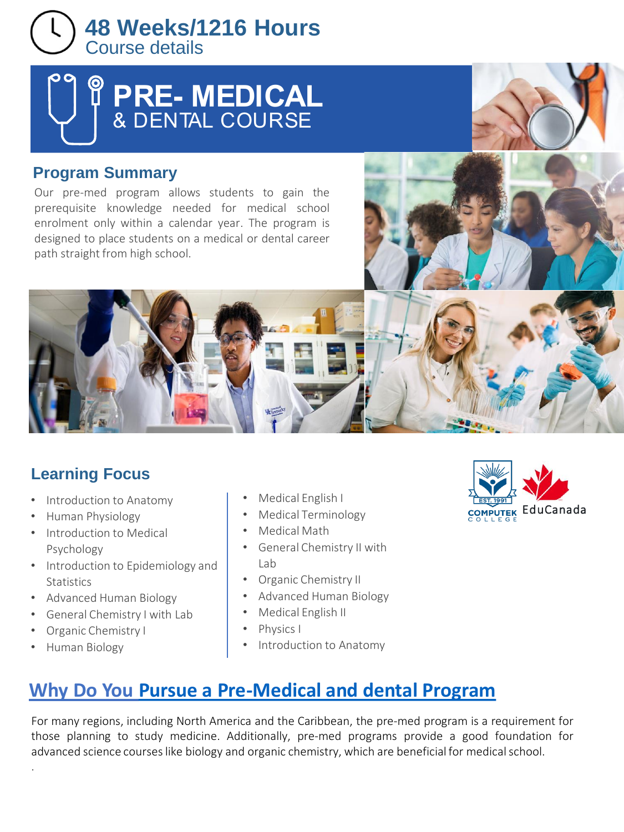

# $\begin{bmatrix} \phantom{-} \end{bmatrix}$ 8

### **Program Summary**

Our pre-med program allows students to gain the prerequisite knowledge needed for medical school enrolment only within a calendar year. The program is designed to place students on a medical or dental career path straight from high school.

## **Learning Focus**

- Introduction to Anatomy
- Human Physiology
- Introduction to Medical Psychology
- Introduction to Epidemiology and **Statistics**
- Advanced Human Biology
- General Chemistry I with Lab
- Organic Chemistry I
- Human Biology

.

- Medical English I
- Medical Terminology
- Medical Math
- General Chemistry II with Lab
- Organic Chemistry II
- Advanced Human Biology
- Medical English II
- Physics I
- Introduction to Anatomy



# **Why Do You [Pursue a Pre-Medical and dental Program](https://pxlme.me/8x80NEUM)**

For many regions, including North America and the Caribbean, the pre-med program is a requirement for those planning to study medicine. Additionally, pre-med programs provide a good foundation for advanced science courses like biology and organic chemistry, which are beneficial for medical school.

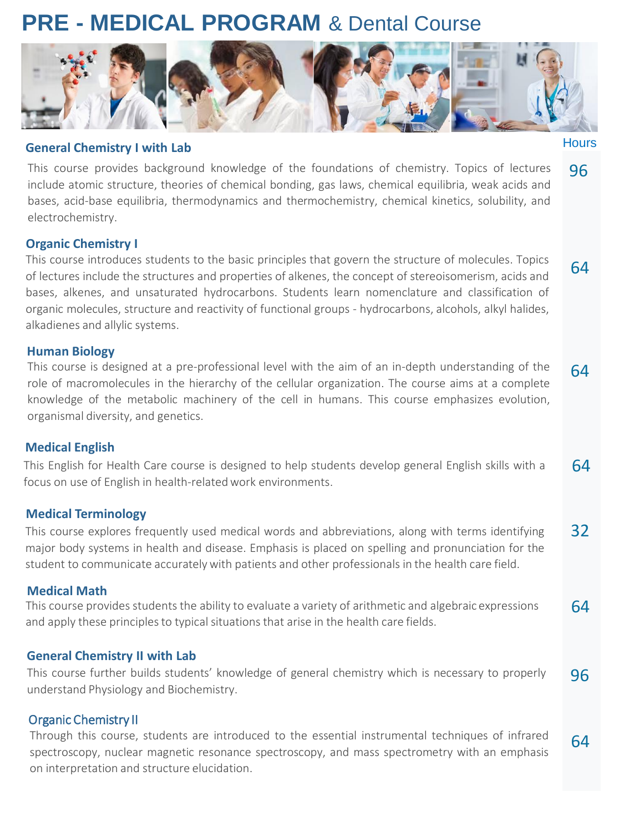# **PRE - MEDICAL PROGRAM** & Dental Course



**Hours** 

64

#### **General Chemistry I with Lab**

This course provides background knowledge of the foundations of chemistry. Topics of lectures include atomic structure, theories of chemical bonding, gas laws, chemical equilibria, weak acids and bases, acid-base equilibria, thermodynamics and thermochemistry, chemical kinetics, solubility, and electrochemistry. 96

#### **Organic Chemistry I**

This course introduces students to the basic principles that govern the structure of molecules. Topics of lectures include the structures and properties of alkenes, the concept of stereoisomerism, acids and bases, alkenes, and unsaturated hydrocarbons. Students learn nomenclature and classification of organic molecules, structure and reactivity of functional groups - hydrocarbons, alcohols, alkyl halides, alkadienes and allylic systems.

#### **Human Biology**

This course is designed at a pre-professional level with the aim of an in-depth understanding of the role of macromolecules in the hierarchy of the cellular organization. The course aims at a complete knowledge of the metabolic machinery of the cell in humans. This course emphasizes evolution, organismal diversity, and genetics. 64

#### **Medical English**

This English for Health Care course is designed to help students develop general English skills with a focus on use of English in health-related work environments. 64

#### **Medical Terminology**

This course explores frequently used medical words and abbreviations, along with terms identifying major body systems in health and disease. Emphasis is placed on spelling and pronunciation for the student to communicate accuratelywith patients and other professionals in the health care field. 32

#### **Medical Math**

64 This course provides students the ability to evaluate a variety of arithmetic and algebraic expressions and apply these principles to typical situations that arise in the health care fields.

#### **General Chemistry II with Lab**

This course further builds students' knowledge of general chemistry which is necessary to properly understand Physiology and Biochemistry. 96

#### Organic Chemistry II

Through this course, students are introduced to the essential instrumental techniques of infrared spectroscopy, nuclear magnetic resonance spectroscopy, and mass spectrometry with an emphasis on interpretation and structure elucidation. 64